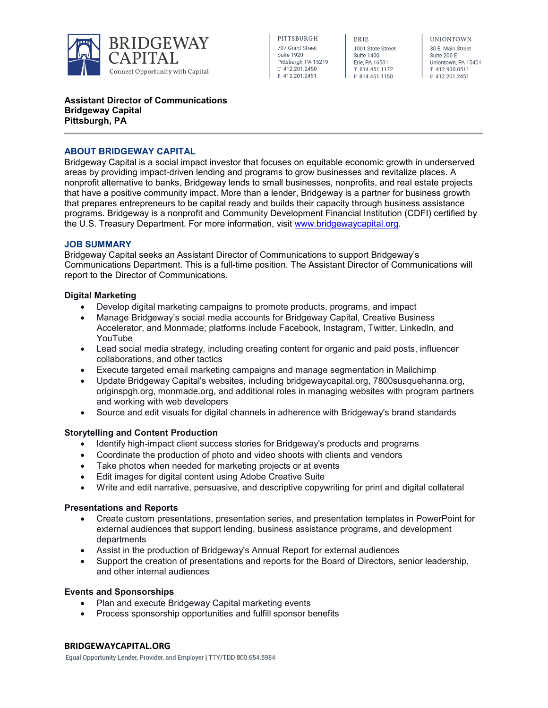

PITTSBURGH 707 Grant Street **Suite 1920** Pittsburgh, PA 15219 T 412.201.2450 F 412.201.2451

ERIE 1001 State Street Suite 1400 Erie, PA 16501 T 814.451.1172 F 814.451.1150

**UNIONTOWN** 30 E. Main Street Suite 200 E Uniontown, PA 15401 T 412.930.0511 F 412.201.2451

### **Assistant Director of Communications Bridgeway Capital Pittsburgh, PA**

### **ABOUT BRIDGEWAY CAPITAL**

Bridgeway Capital is a social impact investor that focuses on equitable economic growth in underserved areas by providing impact-driven lending and programs to grow businesses and revitalize places. A nonprofit alternative to banks, Bridgeway lends to small businesses, nonprofits, and real estate projects that have a positive community impact. More than a lender, Bridgeway is a partner for business growth that prepares entrepreneurs to be capital ready and builds their capacity through business assistance programs. Bridgeway is a nonprofit and Community Development Financial Institution (CDFI) certified by the U.S. Treasury Department. For more information, visit [www.bridgewaycapital.org.](http://www.bridgewaycapital.org/)

### **JOB SUMMARY**

Bridgeway Capital seeks an Assistant Director of Communications to support Bridgeway's Communications Department. This is a full-time position. The Assistant Director of Communications will report to the Director of Communications.

### **Digital Marketing**

- Develop digital marketing campaigns to promote products, programs, and impact
- Manage Bridgeway's social media accounts for Bridgeway Capital, Creative Business Accelerator, and Monmade; platforms include Facebook, Instagram, Twitter, LinkedIn, and YouTube
- Lead social media strategy, including creating content for organic and paid posts, influencer collaborations, and other tactics
- Execute targeted email marketing campaigns and manage segmentation in Mailchimp
- Update Bridgeway Capital's websites, including bridgewaycapital.org, 7800susquehanna.org, originspgh.org, monmade.org, and additional roles in managing websites with program partners and working with web developers
- Source and edit visuals for digital channels in adherence with Bridgeway's brand standards

## **Storytelling and Content Production**

- Identify high-impact client success stories for Bridgeway's products and programs
- Coordinate the production of photo and video shoots with clients and vendors
- Take photos when needed for marketing projects or at events
- Edit images for digital content using Adobe Creative Suite
- Write and edit narrative, persuasive, and descriptive copywriting for print and digital collateral

### **Presentations and Reports**

- Create custom presentations, presentation series, and presentation templates in PowerPoint for external audiences that support lending, business assistance programs, and development departments
- Assist in the production of Bridgeway's Annual Report for external audiences
- Support the creation of presentations and reports for the Board of Directors, senior leadership, and other internal audiences

### **Events and Sponsorships**

- Plan and execute Bridgeway Capital marketing events
- Process sponsorship opportunities and fulfill sponsor benefits

### **BRIDGEWAYCAPITAL.ORG**

Equal Opportunity Lender, Provider, and Employer | TTY/TDD 800.654.5984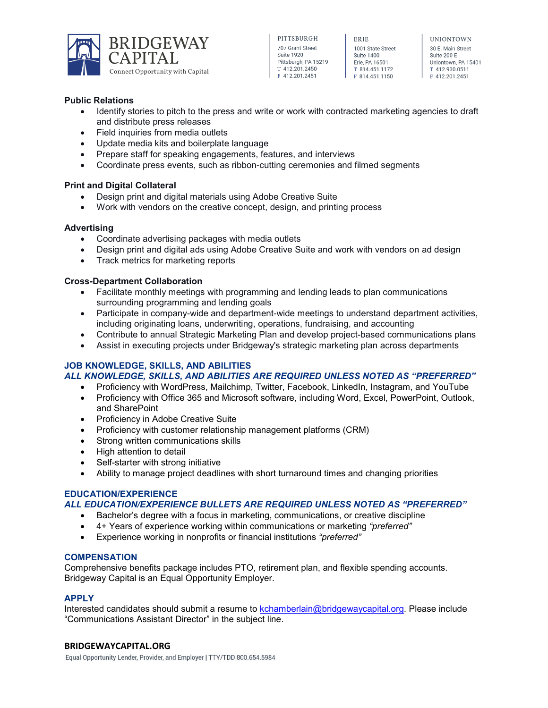

| PHISBURGH            |
|----------------------|
| 707 Grant Street     |
| <b>Suite 1920</b>    |
| Pittsburgh, PA 15219 |
| T4122012450          |
| F 412.201.2451       |

ERIE 1001 State Street Suite 1400 Frie PA 16501 T 814.451.1172 F 814.451.1150

**UNIONTOWN** 30 F Main Street Suite 200 E Uniontown, PA 15401 T 412.930.0511 F 412.201.2451

## **Public Relations**

- Identify stories to pitch to the press and write or work with contracted marketing agencies to draft and distribute press releases
- Field inquiries from media outlets
- Update media kits and boilerplate language
- Prepare staff for speaking engagements, features, and interviews
- Coordinate press events, such as ribbon-cutting ceremonies and filmed segments

## **Print and Digital Collateral**

- Design print and digital materials using Adobe Creative Suite
- Work with vendors on the creative concept, design, and printing process

## **Advertising**

- Coordinate advertising packages with media outlets
- Design print and digital ads using Adobe Creative Suite and work with vendors on ad design
- Track metrics for marketing reports

## **Cross-Department Collaboration**

- Facilitate monthly meetings with programming and lending leads to plan communications surrounding programming and lending goals
- Participate in company-wide and department-wide meetings to understand department activities, including originating loans, underwriting, operations, fundraising, and accounting
- Contribute to annual Strategic Marketing Plan and develop project-based communications plans
- Assist in executing projects under Bridgeway's strategic marketing plan across departments

# **JOB KNOWLEDGE, SKILLS, AND ABILITIES**

## *ALL KNOWLEDGE, SKILLS, AND ABILITIES ARE REQUIRED UNLESS NOTED AS "PREFERRED"*

- Proficiency with WordPress, Mailchimp, Twitter, Facebook, LinkedIn, Instagram, and YouTube
- Proficiency with Office 365 and Microsoft software, including Word, Excel, PowerPoint, Outlook, and SharePoint
- Proficiency in Adobe Creative Suite
- Proficiency with customer relationship management platforms (CRM)
- Strong written communications skills
- High attention to detail
- Self-starter with strong initiative
- Ability to manage project deadlines with short turnaround times and changing priorities

# **EDUCATION/EXPERIENCE**

# *ALL EDUCATION/EXPERIENCE BULLETS ARE REQUIRED UNLESS NOTED AS "PREFERRED"*

- Bachelor's degree with a focus in marketing, communications, or creative discipline
- 4+ Years of experience working within communications or marketing *"preferred"*
- Experience working in nonprofits or financial institutions *"preferred"*

## **COMPENSATION**

Comprehensive benefits package includes PTO, retirement plan, and flexible spending accounts. Bridgeway Capital is an Equal Opportunity Employer.

## **APPLY**

Interested candidates should submit a resume to [kchamberlain@bridgewaycapital.org.](mailto:kchamberlain@bridgewaycapital.org) Please include "Communications Assistant Director" in the subject line.

## **BRIDGEWAYCAPITAL.ORG**

Equal Opportunity Lender, Provider, and Employer | TTY/TDD 800.654.5984